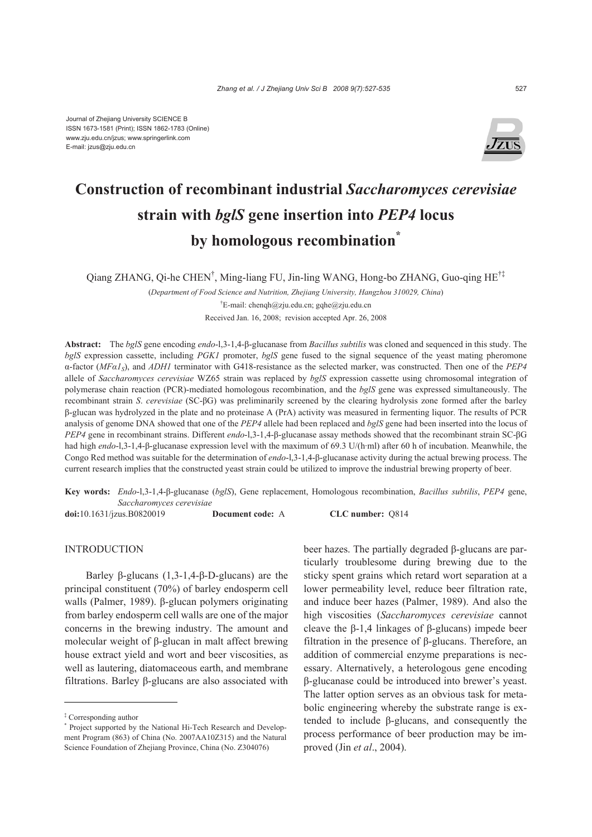

# **Construction of recombinant industrial** *Saccharomyces cerevisiae*  **strain with** *bglS* **gene insertion into** *PEP4* **locus by homologous recombination\***

Qiang ZHANG, Qi-he CHEN† , Ming-liang FU, Jin-ling WANG, Hong-bo ZHANG, Guo-qing HE†‡

(*Department of Food Science and Nutrition, Zhejiang University, Hangzhou 310029, China*) † E-mail: chenqh@zju.edu.cn; gqhe@zju.edu.cn

Received Jan. 16, 2008; revision accepted Apr. 26, 2008

**Abstract:** The *bglS* gene encoding *endo*-l,3-1,4-β-glucanase from *Bacillus subtilis* was cloned and sequenced in this study. The *bglS* expression cassette, including *PGK1* promoter, *bglS* gene fused to the signal sequence of the yeast mating pheromone α-factor (*MFα1S*), and *ADH1* terminator with G418-resistance as the selected marker, was constructed. Then one of the *PEP4* allele of *Saccharomyces cerevisiae* WZ65 strain was replaced by *bglS* expression cassette using chromosomal integration of polymerase chain reaction (PCR)-mediated homologous recombination, and the *bglS* gene was expressed simultaneously. The recombinant strain *S*. *cerevisiae* (SC-βG) was preliminarily screened by the clearing hydrolysis zone formed after the barley β-glucan was hydrolyzed in the plate and no proteinase A (PrA) activity was measured in fermenting liquor. The results of PCR analysis of genome DNA showed that one of the *PEP4* allele had been replaced and *bglS* gene had been inserted into the locus of *PEP4* gene in recombinant strains. Different *endo*-l,3-1,4-β-glucanase assay methods showed that the recombinant strain SC-βG had high *endo*-l,3-1,4-β-glucanase expression level with the maximum of 69.3 U/(h·ml) after 60 h of incubation. Meanwhile, the Congo Red method was suitable for the determination of *endo*-l,3-1,4-β-glucanase activity during the actual brewing process. The current research implies that the constructed yeast strain could be utilized to improve the industrial brewing property of beer.

**Key words:** *Endo*-l,3-1,4-β-glucanase (*bglS*), Gene replacement, Homologous recombination, *Bacillus subtilis*, *PEP4* gene, *Saccharomyces cerevisiae* **doi:**10.1631/jzus.B0820019 **Document code:** A **CLC number:** Q814

**INTRODUCTION** 

Barley β-glucans (1,3-1,4-β-D-glucans) are the principal constituent (70%) of barley endosperm cell walls (Palmer, 1989). β-glucan polymers originating from barley endosperm cell walls are one of the major concerns in the brewing industry. The amount and molecular weight of β-glucan in malt affect brewing house extract yield and wort and beer viscosities, as well as lautering, diatomaceous earth, and membrane filtrations. Barley β-glucans are also associated with

beer hazes. The partially degraded β-glucans are particularly troublesome during brewing due to the sticky spent grains which retard wort separation at a lower permeability level, reduce beer filtration rate, and induce beer hazes (Palmer, 1989). And also the high viscosities (*Saccharomyces cerevisiae* cannot cleave the β-1,4 linkages of β-glucans) impede beer filtration in the presence of β-glucans. Therefore, an addition of commercial enzyme preparations is necessary. Alternatively, a heterologous gene encoding β-glucanase could be introduced into brewer's yeast. The latter option serves as an obvious task for metabolic engineering whereby the substrate range is extended to include β-glucans, and consequently the process performance of beer production may be improved (Jin *et al*., 2004).

<sup>‡</sup> Corresponding author

<sup>\*</sup> Project supported by the National Hi-Tech Research and Development Program (863) of China (No. 2007AA10Z315) and the Natural Science Foundation of Zhejiang Province, China (No. Z304076)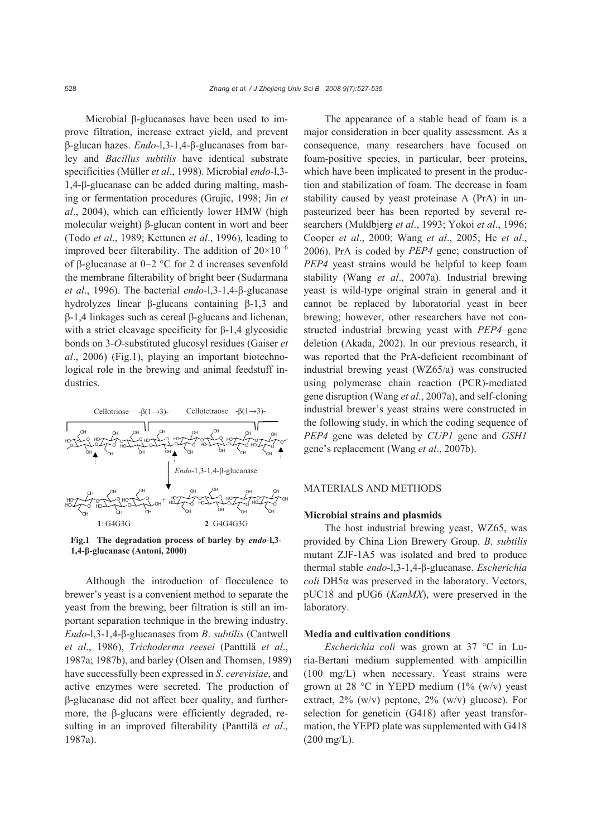Microbial β-glucanases have been used to improve filtration, increase extract yield, and prevent β-glucan hazes. *Endo*-l,3-1,4-β-glucanases from barley and *Bacillus subtilis* have identical substrate specificities (Müller *et al*., 1998). Microbial *endo*-l,3- 1,4-β-glucanase can be added during malting, mashing or fermentation procedures (Grujic, 1998; Jin *et al*., 2004), which can efficiently lower HMW (high molecular weight) β-glucan content in wort and beer (Todo *et al*., 1989; Kettunen *et al*., 1996), leading to improved beer filterability. The addition of  $20\times10^{-6}$ of β-glucanase at 0~2 °C for 2 d increases sevenfold the membrane filterability of bright beer (Sudarmana *et al*., 1996). The bacterial *endo*-l,3-1,4-β-glucanase hydrolyzes linear β-glucans containing β-1,3 and β-1,4 linkages such as cereal β-glucans and lichenan, with a strict cleavage specificity for  $\beta$ -1,4 glycosidic bonds on 3-*O*-substituted glucosyl residues (Gaiser *et al*., 2006) (Fig.1), playing an important biotechnological role in the brewing and animal feedstuff industries.



**Fig.1 The degradation process of barley by** *endo*-**l,3**- **1,4**-**β**-**glucanase (Antoni, 2000)**

Although the introduction of flocculence to brewer's yeast is a convenient method to separate the yeast from the brewing, beer filtration is still an important separation technique in the brewing industry. *Endo*-l,3-1,4-β-glucanases from *B*. *subtilis* (Cantwell *et al*., 1986), *Trichoderma reesei* (Panttilä *et al*., 1987a; 1987b), and barley (Olsen and Thomsen, 1989) have successfully been expressed in *S*. *cerevisiae*, and active enzymes were secreted. The production of β-glucanase did not affect beer quality, and furthermore, the β-glucans were efficiently degraded, resulting in an improved filterability (Panttilä *et al*., 1987a).

The appearance of a stable head of foam is a major consideration in beer quality assessment. As a consequence, many researchers have focused on foam-positive species, in particular, beer proteins, which have been implicated to present in the production and stabilization of foam. The decrease in foam stability caused by yeast proteinase A (PrA) in unpasteurized beer has been reported by several researchers (Muldbjerg *et al*., 1993; Yokoi *et al*., 1996; Cooper *et al*., 2000; Wang *et al*., 2005; He *et al*., 2006). PrA is coded by *PEP4* gene; construction of *PEP4* yeast strains would be helpful to keep foam stability (Wang *et al*., 2007a). Industrial brewing yeast is wild-type original strain in general and it cannot be replaced by laboratorial yeast in beer brewing; however, other researchers have not constructed industrial brewing yeast with *PEP4* gene deletion (Akada, 2002). In our previous research, it was reported that the PrA-deficient recombinant of industrial brewing yeast (WZ65/a) was constructed using polymerase chain reaction (PCR)-mediated gene disruption (Wang *et al*., 2007a), and self-cloning industrial brewer's yeast strains were constructed in the following study, in which the coding sequence of *PEP4* gene was deleted by *CUP1* gene and *GSH1* gene's replacement (Wang *et al*., 2007b).

### MATERIALS AND METHODS

#### **Microbial strains and plasmids**

The host industrial brewing yeast, WZ65, was provided by China Lion Brewery Group. *B*. *subtilis*  mutant ZJF-1A5 was isolated and bred to produce thermal stable *endo*-l,3-1,4-β-glucanase. *Escherichia coli* DH5α was preserved in the laboratory. Vectors, pUC18 and pUG6 (*KanMX*), were preserved in the laboratory.

#### **Media and cultivation conditions**

*Escherichia coli* was grown at 37 °C in Luria-Bertani medium supplemented with ampicillin (100 mg/L) when necessary. Yeast strains were grown at 28 °C in YEPD medium (1% (w/v) yeast extract,  $2\%$  (w/v) peptone,  $2\%$  (w/v) glucose). For selection for geneticin (G418) after yeast transformation, the YEPD plate was supplemented with G418  $(200 \text{ mg/L}).$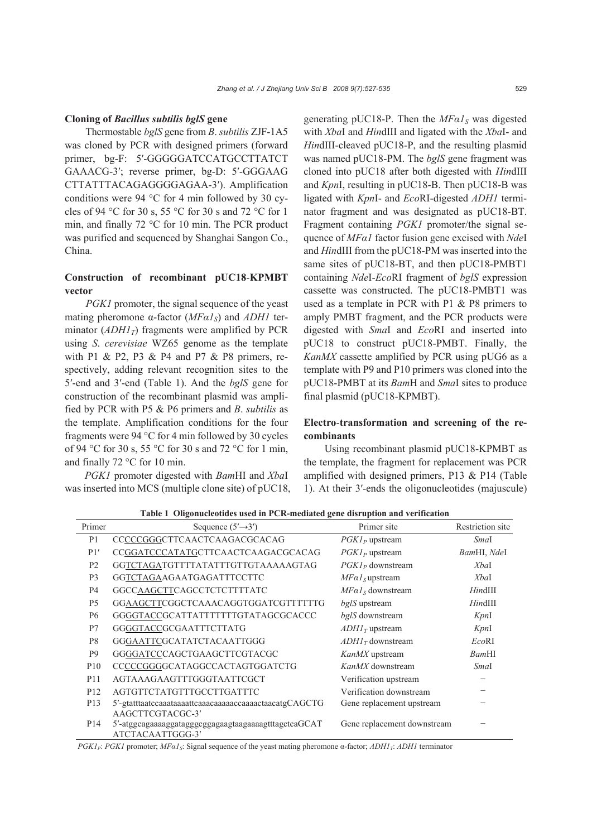#### **Cloning of** *Bacillus subtilis bglS* **gene**

Thermostable *bglS* gene from *B*. *subtilis* ZJF-1A5 was cloned by PCR with designed primers (forward primer, bg-F: 5′-GGGGGATCCATGCCTTATCT GAAACG-3′; reverse primer, bg-D: 5′-GGGAAG CTTATTTACAGAGGGGAGAA-3′). Amplification conditions were 94 °C for 4 min followed by 30 cycles of 94 °C for 30 s, 55 °C for 30 s and 72 °C for 1 min, and finally 72 °C for 10 min. The PCR product was purified and sequenced by Shanghai Sangon Co., China.

# **Construction of recombinant pUC18**-**KPMBT vector**

*PGK1* promoter, the signal sequence of the yeast mating pheromone α-factor (*MFα1<sub>S</sub>*) and *ADH1* terminator  $(ADHI_T)$  fragments were amplified by PCR using *S*. *cerevisiae* WZ65 genome as the template with P1 & P2, P3 & P4 and P7 & P8 primers, respectively, adding relevant recognition sites to the 5′-end and 3′-end (Table 1). And the *bglS* gene for construction of the recombinant plasmid was amplified by PCR with P5 & P6 primers and *B*. *subtilis* as the template. Amplification conditions for the four fragments were 94 °C for 4 min followed by 30 cycles of 94 °C for 30 s, 55 °C for 30 s and 72 °C for 1 min, and finally 72 °C for 10 min.

*PGK1* promoter digested with *Bam*HI and *Xba*I was inserted into MCS (multiple clone site) of pUC18, generating pUC18-P. Then the  $MFaI<sub>S</sub>$  was digested with *Xba*I and *Hin*dIII and ligated with the *Xba*I- and *Hin*dIII-cleaved pUC18-P, and the resulting plasmid was named pUC18-PM. The *bglS* gene fragment was cloned into pUC18 after both digested with *Hin*dIII and *Kpn*I, resulting in pUC18-B. Then pUC18-B was ligated with *Kpn*I- and *Eco*RI-digested *ADH1* terminator fragment and was designated as pUC18-BT. Fragment containing *PGK1* promoter/the signal sequence of *MFα1* factor fusion gene excised with *Nde*I and *Hin*dIII from the pUC18-PM was inserted into the same sites of pUC18-BT, and then pUC18-PMBT1 containing *Nde*I-*Eco*RI fragment of *bglS* expression cassette was constructed. The pUC18-PMBT1 was used as a template in PCR with P1 & P8 primers to amply PMBT fragment, and the PCR products were digested with *Sma*I and *Eco*RI and inserted into pUC18 to construct pUC18-PMBT. Finally, the *KanMX* cassette amplified by PCR using pUG6 as a template with P9 and P10 primers was cloned into the pUC18-PMBT at its *Bam*H and *Sma*I sites to produce final plasmid (pUC18-KPMBT).

## **Electro**-**transformation and screening of the recombinants**

Using recombinant plasmid pUC18-KPMBT as the template, the fragment for replacement was PCR amplified with designed primers, P13 & P14 (Table 1). At their 3′-ends the oligonucleotides (majuscule)

| Primer          | Sequence $(5'\rightarrow 3')$                                                                | Primer site                 | Restriction site |
|-----------------|----------------------------------------------------------------------------------------------|-----------------------------|------------------|
| P <sub>1</sub>  | CCCCCGGGCTTCAACTCAAGACGCACAG                                                                 | $PGLP$ upstream             | SmaI             |
| P1'             | CCGGATCCCATATGCTTCAACTCAAGACGCACAG                                                           | $PGKI_P$ upstream           | BamHI, NdeI      |
| P <sub>2</sub>  | GGTCTAGATGTTTTATATTTGTTGTAAAAAGTAG                                                           | $PGK1_P$ downstream         | XbaI             |
| P <sub>3</sub>  | GGTCTAGAAGAATGAGATTTCCTTC                                                                    | $MFaIS$ upstream            | XbaI             |
| P4              | GGCCAAGCTTCAGCCTCTCTTTTATC                                                                   | $MFaIS$ downstream          | $H$ ind $III$    |
| P <sub>5</sub>  | GGAAGCTTCGGCTCAAACAGGTGGATCGTTTTTTG                                                          | bglS upstream               | $H$ ind $III$    |
| P6              | GGGGTACCGCATTATTTTTTTGTATAGCGCACCC                                                           | bglS downstream             | KpnI             |
| P7              | GGGGTACCGCGAATTTCTTATG                                                                       | $ADHIT$ upstream            | KpnI             |
| P <sub>8</sub>  | GGGAATTCGCATATCTACAATTGGG                                                                    | $ADHIT$ downstream          | EcoRI            |
| P <sub>9</sub>  | GGGGATCCCAGCTGAAGCTTCGTACGC                                                                  | KanMX upstream              | BamHI            |
| <b>P10</b>      | CCCCCGGGGCATAGGCCACTAGTGGATCTG                                                               | KanMX downstream            | SmaI             |
| P <sub>11</sub> | AGTAAAGAAGTTTGGGTAATTCGCT                                                                    | Verification upstream       |                  |
| P <sub>12</sub> | AGTGTTCTATGTTTGCCTTGATTTC                                                                    | Verification downstream     |                  |
| P <sub>13</sub> | 5'-gtatttaatecaaataaaattcaaacaaaaaccaaaactaacatgCAGCTG                                       | Gene replacement upstream   |                  |
| P <sub>14</sub> | AAGCTTCGTACGC-3'<br>5'-atggcagaaaaggatagggcggagaagtaagaaaagtttagctcaGCAT<br>ATCTACAATTGGG-3' | Gene replacement downstream |                  |
|                 |                                                                                              |                             |                  |

**Table 1 Oligonucleotides used in PCR-mediated gene disruption and verification**

*PGK1P*: *PGK1* promoter; *MFα1S*: Signal sequence of the yeast mating pheromone α-factor; *ADH1T*: *ADH1* terminator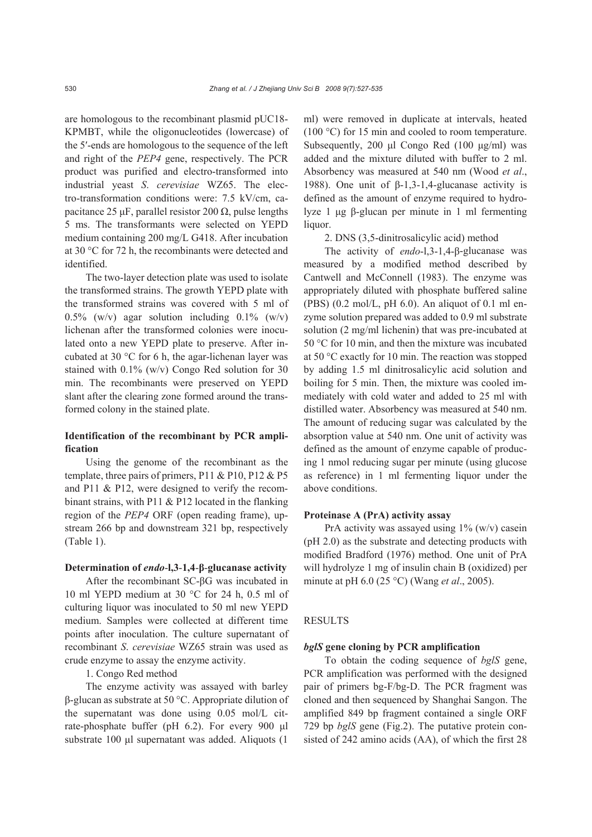are homologous to the recombinant plasmid pUC18- KPMBT, while the oligonucleotides (lowercase) of the 5′-ends are homologous to the sequence of the left and right of the *PEP4* gene, respectively. The PCR product was purified and electro-transformed into industrial yeast *S*. *cerevisiae* WZ65. The electro-transformation conditions were: 7.5 kV/cm, capacitance 25 μF, parallel resistor 200  $\Omega$ , pulse lengths 5 ms. The transformants were selected on YEPD medium containing 200 mg/L G418. After incubation at 30 °C for 72 h, the recombinants were detected and identified.

The two-layer detection plate was used to isolate the transformed strains. The growth YEPD plate with the transformed strains was covered with 5 ml of 0.5% (w/v) agar solution including  $0.1\%$  (w/v) lichenan after the transformed colonies were inoculated onto a new YEPD plate to preserve. After incubated at 30 °C for 6 h, the agar-lichenan layer was stained with 0.1% (w/v) Congo Red solution for 30 min. The recombinants were preserved on YEPD slant after the clearing zone formed around the transformed colony in the stained plate.

## **Identification of the recombinant by PCR amplification**

Using the genome of the recombinant as the template, three pairs of primers, P11 & P10, P12 & P5 and P11 & P12, were designed to verify the recombinant strains, with P11 & P12 located in the flanking region of the *PEP4* ORF (open reading frame), upstream 266 bp and downstream 321 bp, respectively (Table 1).

#### **Determination of** *endo*-**l,3**-**1,4**-**β**-**glucanase activity**

After the recombinant SC-βG was incubated in 10 ml YEPD medium at 30 °C for 24 h, 0.5 ml of culturing liquor was inoculated to 50 ml new YEPD medium. Samples were collected at different time points after inoculation. The culture supernatant of recombinant *S*. *cerevisiae* WZ65 strain was used as crude enzyme to assay the enzyme activity.

1. Congo Red method

The enzyme activity was assayed with barley β-glucan as substrate at 50 °C. Appropriate dilution of the supernatant was done using 0.05 mol/L citrate-phosphate buffer (pH 6.2). For every 900 μl substrate 100 μl supernatant was added. Aliquots (1

ml) were removed in duplicate at intervals, heated (100 °C) for 15 min and cooled to room temperature. Subsequently, 200 μl Congo Red (100 μg/ml) was added and the mixture diluted with buffer to 2 ml. Absorbency was measured at 540 nm (Wood *et al*., 1988). One unit of  $β-1,3-1,4$ -glucanase activity is defined as the amount of enzyme required to hydrolyze 1 μg β-glucan per minute in 1 ml fermenting liquor.

2. DNS (3,5-dinitrosalicylic acid) method

The activity of *endo*-l,3-1,4-β-glucanase was measured by a modified method described by Cantwell and McConnell (1983). The enzyme was appropriately diluted with phosphate buffered saline (PBS)  $(0.2 \text{ mol/L}, \text{pH } 6.0)$ . An aliquot of 0.1 ml enzyme solution prepared was added to 0.9 ml substrate solution (2 mg/ml lichenin) that was pre-incubated at 50 °C for 10 min, and then the mixture was incubated at 50 °C exactly for 10 min. The reaction was stopped by adding 1.5 ml dinitrosalicylic acid solution and boiling for 5 min. Then, the mixture was cooled immediately with cold water and added to 25 ml with distilled water. Absorbency was measured at 540 nm. The amount of reducing sugar was calculated by the absorption value at 540 nm. One unit of activity was defined as the amount of enzyme capable of producing 1 nmol reducing sugar per minute (using glucose as reference) in 1 ml fermenting liquor under the above conditions.

## **Proteinase A (PrA) activity assay**

PrA activity was assayed using  $1\%$  (w/v) casein (pH 2.0) as the substrate and detecting products with modified Bradford (1976) method. One unit of PrA will hydrolyze 1 mg of insulin chain B (oxidized) per minute at pH 6.0 (25 °C) (Wang *et al*., 2005).

#### **RESULTS**

#### *bglS* **gene cloning by PCR amplification**

To obtain the coding sequence of *bglS* gene, PCR amplification was performed with the designed pair of primers bg-F/bg-D. The PCR fragment was cloned and then sequenced by Shanghai Sangon. The amplified 849 bp fragment contained a single ORF 729 bp *bglS* gene (Fig.2). The putative protein consisted of 242 amino acids (AA), of which the first 28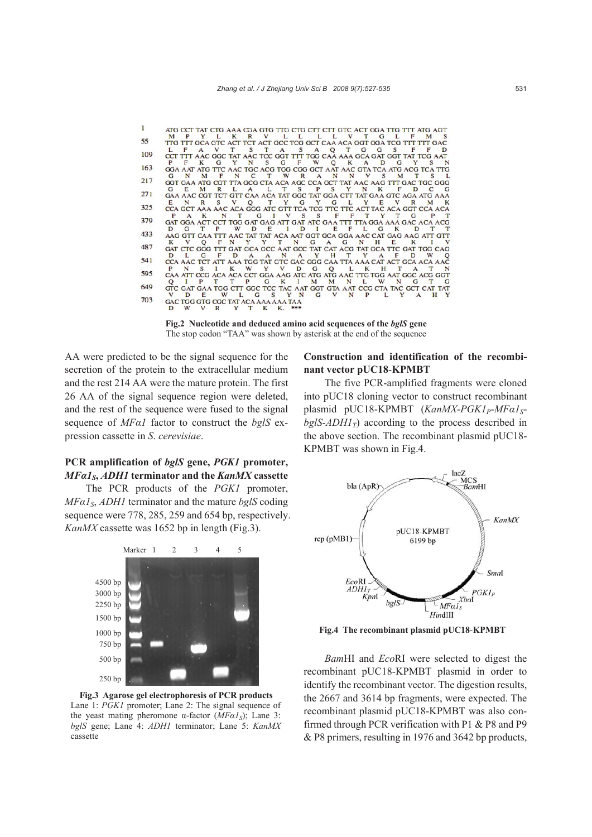|     |   |         |   |                                     |  |  |  |  |  | ATG CCT TAT CTG AAA CGA GTG TTG CTG CTT CTT GTC ACT GGA TTG TTT ATG AGT                          |  |     |  |
|-----|---|---------|---|-------------------------------------|--|--|--|--|--|--------------------------------------------------------------------------------------------------|--|-----|--|
|     |   | $M$ $P$ |   |                                     |  |  |  |  |  | Y L K R V L L L L V T G L F M S                                                                  |  |     |  |
| 55  |   |         |   |                                     |  |  |  |  |  | TTG TTT GCA GTC ACT TCT ACT GCC TCG GCT CAA ACA GGT GGA TCG TTT TTT GAC                          |  |     |  |
|     |   |         |   |                                     |  |  |  |  |  | L F A V T S T A S A O T G G S F F D                                                              |  |     |  |
| 109 |   |         |   |                                     |  |  |  |  |  | CCT TIT AAC GGC TAT AAC TCC GGT TTT TGG CAA AAA GCA GAT GGT TAT TCG AAT                          |  |     |  |
|     |   |         |   |                                     |  |  |  |  |  | PFK GYNSGFW OKADGYSN                                                                             |  |     |  |
| 163 |   |         |   |                                     |  |  |  |  |  | GGA AAT ATG TTC AAC TGC ACG TGG CGG GCT AAT AAC GTA TCA ATG ACG TCA TTG                          |  |     |  |
| 217 | G | N.      | M | F                                   |  |  |  |  |  | N C T W R A N N V S M T S L                                                                      |  |     |  |
|     |   |         |   |                                     |  |  |  |  |  | GGT GAA ATG CGT TTA GCG CTA ACA AGC CCA GCT TAT AAC AAG TTT GAC TGC GGG                          |  |     |  |
| 271 |   |         |   |                                     |  |  |  |  |  | GEMRLALTSPSYNKFDCG                                                                               |  |     |  |
|     |   |         |   |                                     |  |  |  |  |  | GAA AAC CGT TCT GTT CAA ACA TAT GGC TAT GGA CTT TAT GAA GTC AGA ATG AAA                          |  |     |  |
| 325 |   |         |   |                                     |  |  |  |  |  | ENR SVOTYGYGLY EVR MK<br>CCA GCT AAA AAC ACA GGG ATC GTT TCA TCG TTC TTC ACT TAC ACA GGT CCA ACA |  |     |  |
|     |   |         |   |                                     |  |  |  |  |  | PAK NT GIVSS FFTYTG                                                                              |  | P T |  |
| 379 |   |         |   |                                     |  |  |  |  |  | GAT GGA ACT CCT TGG GAT GAG ATT GAT ATC GAA TTT TTA GGA AAA GAC ACA ACG                          |  |     |  |
|     |   |         |   |                                     |  |  |  |  |  | D G T P W D E I D I E F L G K D T T                                                              |  |     |  |
| 433 |   |         |   |                                     |  |  |  |  |  | AAG GTT CAA TTT AAC TAT TAT ACA AAT GGT GCA GGA AAC CAT GAG AAG ATT GTT                          |  |     |  |
|     |   |         |   |                                     |  |  |  |  |  | K V OF N Y Y T N G A G N H E K I                                                                 |  |     |  |
| 487 |   |         |   |                                     |  |  |  |  |  | GAT CTC GGG TTT GAT GCA GCC AAT GCC TAT CAT ACG TAT GCA TTC GAT TGG CAG                          |  |     |  |
|     |   |         |   |                                     |  |  |  |  |  | D L G F D A A N A Y H T Y A F D W O                                                              |  |     |  |
| 541 |   |         |   |                                     |  |  |  |  |  | CCA AAC TCT ATT AAA TGG TAT GTC GAC GGG CAA TTA AAA CAT ACT GCA ACA AAC                          |  |     |  |
|     | P | N       |   |                                     |  |  |  |  |  | SIK WYVDGO L K H T A T N                                                                         |  |     |  |
| 595 |   |         |   |                                     |  |  |  |  |  | CAA ATT CCG ACA ACA CCT GGA AAG ATC ATG ATG AAC TTG TGG AAT GGC ACG GGT                          |  |     |  |
|     |   |         |   |                                     |  |  |  |  |  | O I P T T P G K I M M N L W N G T G                                                              |  |     |  |
| 649 |   |         |   |                                     |  |  |  |  |  | GTC GAT GAA TGG CTT GGC TCC TAC AAT GGT GTA AAT CCG CTA TAC GCT CAT TAT                          |  |     |  |
|     | v |         |   |                                     |  |  |  |  |  | DE W L G S Y N G V N P L Y A H Y                                                                 |  |     |  |
| 703 |   |         |   | GAC TGG GTG CGC TAT ACA AAA AAA TAA |  |  |  |  |  |                                                                                                  |  |     |  |
|     |   |         |   | D W V P V T K K                     |  |  |  |  |  |                                                                                                  |  |     |  |

**Fig.2 Nucleotide and deduced amino acid sequences of the** *bglS* **gene**  The stop codon "TAA" was shown by asterisk at the end of the sequence

AA were predicted to be the signal sequence for the secretion of the protein to the extracellular medium and the rest 214 AA were the mature protein. The first 26 AA of the signal sequence region were deleted, and the rest of the sequence were fused to the signal sequence of *MFα1* factor to construct the *bglS* expression cassette in *S*. *cerevisiae*.

# **PCR amplification of** *bglS* **gene,** *PGK1* **promoter,**  *MFα1S***,** *ADH1* **terminator and the** *KanMX* **cassette**

The PCR products of the *PGK1* promoter, *MFα1<sub>S</sub>*, *ADH1* terminator and the mature *bglS* coding sequence were 778, 285, 259 and 654 bp, respectively. *KanMX* cassette was 1652 bp in length (Fig.3).



**Fig.3 Agarose gel electrophoresis of PCR products**  Lane 1: *PGK1* promoter; Lane 2: The signal sequence of the yeast mating pheromone α-factor  $(MFαI<sub>S</sub>)$ ; Lane 3: *bglS* gene; Lane 4: *ADH1* terminator; Lane 5: *KanMX* cassette

## **Construction and identification of the recombinant vector pUC18**-**KPMBT**

The five PCR-amplified fragments were cloned into pUC18 cloning vector to construct recombinant plasmid pUC18-KPMBT (*KanMX-PGK1<sub>P</sub>-MFα1<sub>S</sub>* $bgIS-ADHI_T$ ) according to the process described in the above section. The recombinant plasmid pUC18- KPMBT was shown in Fig.4.



**Fig.4 The recombinant plasmid pUC18**-**KPMBT**

*Bam*HI and *Eco*RI were selected to digest the recombinant pUC18-KPMBT plasmid in order to identify the recombinant vector. The digestion results, the 2667 and 3614 bp fragments, were expected. The recombinant plasmid pUC18-KPMBT was also confirmed through PCR verification with P1 & P8 and P9 & P8 primers, resulting in 1976 and 3642 bp products,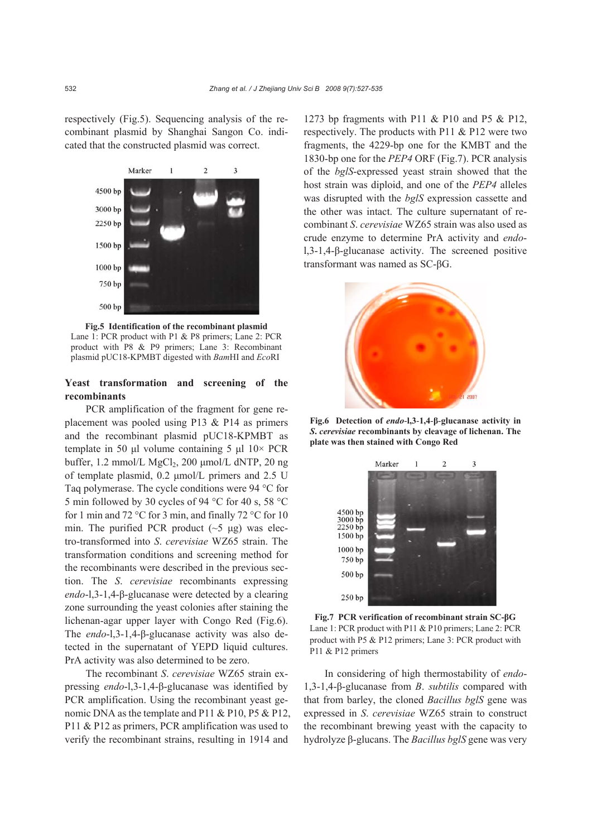respectively (Fig.5). Sequencing analysis of the recombinant plasmid by Shanghai Sangon Co. indicated that the constructed plasmid was correct.



**Fig.5 Identification of the recombinant plasmid**  Lane 1: PCR product with P1 & P8 primers; Lane 2: PCR product with P8 & P9 primers; Lane 3: Recombinant plasmid pUC18-KPMBT digested with *Bam*HI and *Eco*RI

## **Yeast transformation and screening of the recombinants**

PCR amplification of the fragment for gene replacement was pooled using P13 & P14 as primers and the recombinant plasmid pUC18-KPMBT as template in 50 μl volume containing 5 μl  $10\times$  PCR buffer,  $1.2 \text{ mmol/L MgCl}_2$ ,  $200 \text{ mmol/L dNTP}$ ,  $20 \text{ ng}$ of template plasmid, 0.2 μmol/L primers and 2.5 U Taq polymerase. The cycle conditions were 94 °C for 5 min followed by 30 cycles of 94 °C for 40 s, 58 °C for 1 min and 72 °C for 3 min, and finally 72 °C for 10 min. The purified PCR product  $({\sim}5 \text{ µg})$  was electro-transformed into *S*. *cerevisiae* WZ65 strain. The transformation conditions and screening method for the recombinants were described in the previous section. The *S*. *cerevisiae* recombinants expressing *endo*-l,3-1,4-β-glucanase were detected by a clearing zone surrounding the yeast colonies after staining the lichenan-agar upper layer with Congo Red (Fig.6). The *endo*-l,3-1,4-β-glucanase activity was also detected in the supernatant of YEPD liquid cultures. PrA activity was also determined to be zero.

The recombinant *S*. *cerevisiae* WZ65 strain expressing *endo*-l,3-1,4-β-glucanase was identified by PCR amplification. Using the recombinant yeast genomic DNA as the template and P11 & P10, P5 & P12, P11 & P12 as primers, PCR amplification was used to verify the recombinant strains, resulting in 1914 and 1273 bp fragments with P11 & P10 and P5 & P12, respectively. The products with P11 & P12 were two fragments, the 4229-bp one for the KMBT and the 1830-bp one for the *PEP4* ORF (Fig.7). PCR analysis of the *bglS*-expressed yeast strain showed that the host strain was diploid, and one of the *PEP4* alleles was disrupted with the *bglS* expression cassette and the other was intact. The culture supernatant of recombinant *S*. *cerevisiae* WZ65 strain was also used as crude enzyme to determine PrA activity and *endo*l,3-1,4-β-glucanase activity. The screened positive transformant was named as SC-βG.



**Fig.6 Detection of** *endo*-**l,3**-**1,4**-**β**-**glucanase activity in** *S***.** *cerevisiae* **recombinants by cleavage of lichenan. The plate was then stained with Congo Red**



**Fig.7 PCR verification of recombinant strain SC-βG** Lane 1: PCR product with P11 & P10 primers; Lane 2: PCR product with P5 & P12 primers; Lane 3: PCR product with P11 & P12 primers

In considering of high thermostability of *endo*-1,3-1,4-β-glucanase from *B*. *subtilis* compared with that from barley, the cloned *Bacillus bglS* gene was expressed in *S*. *cerevisiae* WZ65 strain to construct the recombinant brewing yeast with the capacity to hydrolyze β-glucans. The *Bacillus bglS* gene was very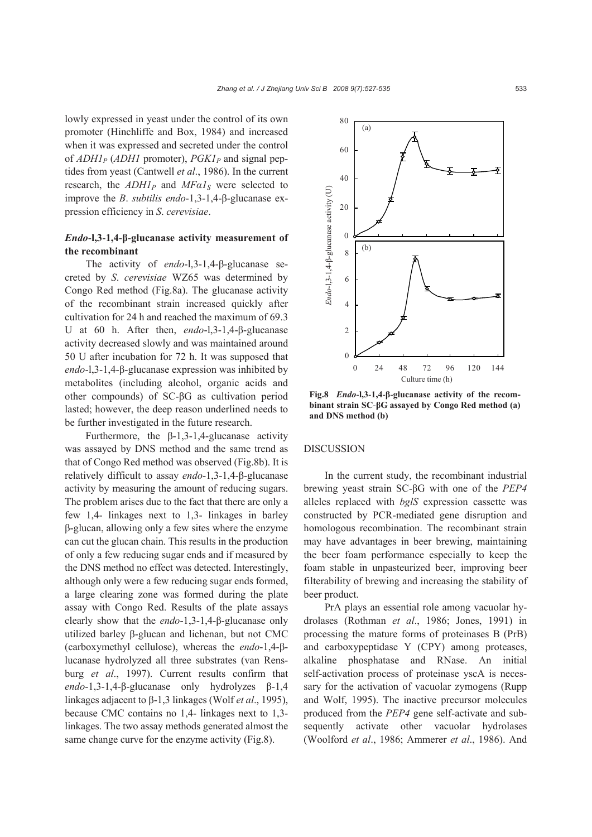lowly expressed in yeast under the control of its own promoter (Hinchliffe and Box, 1984) and increased when it was expressed and secreted under the control of *ADH1P* (*ADH1* promoter), *PGK1P* and signal peptides from yeast (Cantwell *et al*., 1986). In the current research, the  $ADHI<sub>P</sub>$  and  $MFaI<sub>S</sub>$  were selected to improve the *B*. *subtilis endo*-1,3-1,4-β-glucanase expression efficiency in *S*. *cerevisiae*.

# *Endo*-**l,3**-**1,4**-**β**-**glucanase activity measurement of the recombinant**

The activity of *endo*-l,3-1,4-β-glucanase secreted by *S*. *cerevisiae* WZ65 was determined by Congo Red method (Fig.8a). The glucanase activity of the recombinant strain increased quickly after cultivation for 24 h and reached the maximum of 69.3 U at 60 h. After then, *endo*-l,3-1,4-β-glucanase activity decreased slowly and was maintained around 50 U after incubation for 72 h. It was supposed that *endo*-l,3-1,4-β-glucanase expression was inhibited by metabolites (including alcohol, organic acids and other compounds) of SC-βG as cultivation period lasted; however, the deep reason underlined needs to be further investigated in the future research.

Furthermore, the β-1,3-1,4-glucanase activity was assayed by DNS method and the same trend as that of Congo Red method was observed (Fig.8b). It is relatively difficult to assay *endo*-1,3-1,4-β-glucanase activity by measuring the amount of reducing sugars. The problem arises due to the fact that there are only a few 1,4- linkages next to 1,3- linkages in barley β-glucan, allowing only a few sites where the enzyme can cut the glucan chain. This results in the production of only a few reducing sugar ends and if measured by the DNS method no effect was detected. Interestingly, although only were a few reducing sugar ends formed, a large clearing zone was formed during the plate assay with Congo Red. Results of the plate assays clearly show that the *endo*-1,3-1,4-β-glucanase only utilized barley β-glucan and lichenan, but not CMC (carboxymethyl cellulose), whereas the *endo*-1,4-βlucanase hydrolyzed all three substrates (van Rensburg *et al*., 1997). Current results confirm that *endo*-1,3-1,4-β-glucanase only hydrolyzes β-1,4 linkages adjacent to β-1,3 linkages (Wolf *et al*., 1995), because CMC contains no 1,4- linkages next to 1,3 linkages. The two assay methods generated almost the same change curve for the enzyme activity (Fig.8).



**Fig.8** *Endo*-**l,3**-**1,4**-**β**-**glucanase activity of the recombinant strain SC**-**βG assayed by Congo Red method (a) and DNS method (b)**

#### DISCUSSION

In the current study, the recombinant industrial brewing yeast strain SC-βG with one of the *PEP4* alleles replaced with *bglS* expression cassette was constructed by PCR-mediated gene disruption and homologous recombination. The recombinant strain may have advantages in beer brewing, maintaining the beer foam performance especially to keep the foam stable in unpasteurized beer, improving beer filterability of brewing and increasing the stability of beer product.

PrA plays an essential role among vacuolar hydrolases (Rothman *et al*., 1986; Jones, 1991) in processing the mature forms of proteinases B (PrB) and carboxypeptidase Y (CPY) among proteases, alkaline phosphatase and RNase. An initial self-activation process of proteinase yscA is necessary for the activation of vacuolar zymogens (Rupp and Wolf, 1995). The inactive precursor molecules produced from the *PEP4* gene self-activate and subsequently activate other vacuolar hydrolases (Woolford *et al*., 1986; Ammerer *et al*., 1986). And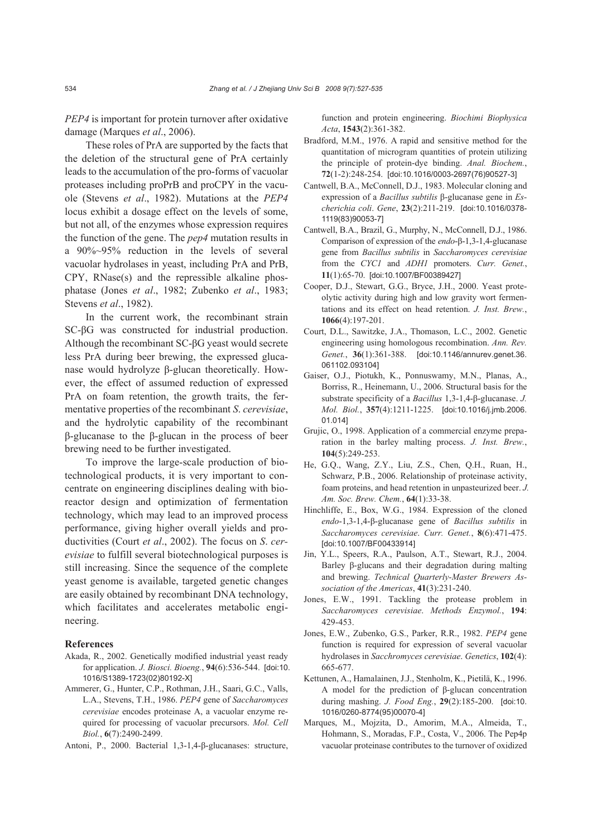*PEP4* is important for protein turnover after oxidative damage (Marques *et al*., 2006).

These roles of PrA are supported by the facts that the deletion of the structural gene of PrA certainly leads to the accumulation of the pro-forms of vacuolar proteases including proPrB and proCPY in the vacuole (Stevens *et al*., 1982). Mutations at the *PEP4*  locus exhibit a dosage effect on the levels of some, but not all, of the enzymes whose expression requires the function of the gene. The *pep4* mutation results in a 90%~95% reduction in the levels of several vacuolar hydrolases in yeast, including PrA and PrB, CPY, RNase(s) and the repressible alkaline phosphatase (Jones *et al*., 1982; Zubenko *et al*., 1983; Stevens *et al*., 1982).

In the current work, the recombinant strain SC-βG was constructed for industrial production. Although the recombinant SC-βG yeast would secrete less PrA during beer brewing, the expressed glucanase would hydrolyze β-glucan theoretically. However, the effect of assumed reduction of expressed PrA on foam retention, the growth traits, the fermentative properties of the recombinant *S*. *cerevisiae*, and the hydrolytic capability of the recombinant β-glucanase to the β-glucan in the process of beer brewing need to be further investigated.

To improve the large-scale production of biotechnological products, it is very important to concentrate on engineering disciplines dealing with bioreactor design and optimization of fermentation technology, which may lead to an improved process performance, giving higher overall yields and productivities (Court *et al*., 2002). The focus on *S*. *cerevisiae* to fulfill several biotechnological purposes is still increasing. Since the sequence of the complete yeast genome is available, targeted genetic changes are easily obtained by recombinant DNA technology, which facilitates and accelerates metabolic engineering.

#### **References**

- Akada, R., 2002. Genetically modified industrial yeast ready for application. *J. Biosci. Bioeng.*, **94**(6):536-544. [doi:10. 1016/S1389-1723(02)80192-X]
- Ammerer, G., Hunter, C.P., Rothman, J.H., Saari, G.C., Valls, L.A., Stevens, T.H., 1986. *PEP4* gene of *Saccharomyces cerevisiae* encodes proteinase A, a vacuolar enzyme required for processing of vacuolar precursors. *Mol. Cell Biol.*, **6**(7):2490-2499.

Antoni, P., 2000. Bacterial 1,3-1,4-β-glucanases: structure,

function and protein engineering. *Biochimi Biophysica Acta*, **1543**(2):361-382.

- Bradford, M.M., 1976. A rapid and sensitive method for the quantitation of microgram quantities of protein utilizing the principle of protein-dye binding. *Anal. Biochem.*, **72**(1-2):248-254. [doi:10.1016/0003-2697(76)90527-3]
- Cantwell, B.A., McConnell, D.J., 1983. Molecular cloning and expression of a *Bacillus subtilis* β-glucanase gene in *Escherichia coli*. *Gene*, **23**(2):211-219. [doi:10.1016/0378- 1119(83)90053-7]
- Cantwell, B.A., Brazil, G., Murphy, N., McConnell, D.J., 1986. Comparison of expression of the *endo*-β-1,3-1,4-glucanase gene from *Bacillus subtilis* in *Saccharomyces cerevisiae*  from the *CYC1* and *ADH1* promoters. *Curr. Genet.*, **11**(1):65-70. [doi:10.1007/BF00389427]
- Cooper, D.J., Stewart, G.G., Bryce, J.H., 2000. Yeast proteolytic activity during high and low gravity wort fermentations and its effect on head retention. *J. Inst. Brew.*, **1066**(4):197-201.
- Court, D.L., Sawitzke, J.A., Thomason, L.C., 2002. Genetic engineering using homologous recombination. *Ann. Rev. Genet.*, **36**(1):361-388. [doi:10.1146/annurev.genet.36. 061102.093104]
- Gaiser, O.J., Piotukh, K., Ponnuswamy, M.N., Planas, A., Borriss, R., Heinemann, U., 2006. Structural basis for the substrate specificity of a *Bacillus* 1,3-1,4-β-glucanase. *J. Mol. Biol.*, **357**(4):1211-1225. [doi:10.1016/j.jmb.2006. 01.014]
- Grujic, O., 1998. Application of a commercial enzyme preparation in the barley malting process. *J. Inst. Brew.*, **104**(5):249-253.
- He, G.Q., Wang, Z.Y., Liu, Z.S., Chen, Q.H., Ruan, H., Schwarz, P.B., 2006. Relationship of proteinase activity, foam proteins, and head retention in unpasteurized beer. *J. Am. Soc. Brew. Chem.*, **64**(1):33-38.
- Hinchliffe, E., Box, W.G., 1984. Expression of the cloned *endo*-1,3-1,4-β-glucanase gene of *Bacillus subtilis* in *Saccharomyces cerevisiae*. *Curr. Genet.*, **8**(6):471-475. [doi:10.1007/BF00433914]
- Jin, Y.L., Speers, R.A., Paulson, A.T., Stewart, R.J., 2004. Barley β-glucans and their degradation during malting and brewing. *Technical Quarterly-Master Brewers Association of the Americas*, **41**(3):231-240.
- Jones, E.W., 1991. Tackling the protease problem in *Saccharomyces cerevisiae*. *Methods Enzymol.*, **194**: 429-453.
- Jones, E.W., Zubenko, G.S., Parker, R.R., 1982. *PEP4* gene function is required for expression of several vacuolar hydrolases in *Sacchromyces cerevisiae*. *Genetics*, **102**(4): 665-677.
- Kettunen, A., Hamalainen, J.J., Stenholm, K., Pietilä, K., 1996. A model for the prediction of β-glucan concentration during mashing. *J. Food Eng.*, **29**(2):185-200. [doi:10. 1016/0260-8774(95)00070-4]
- Marques, M., Mojzita, D., Amorim, M.A., Almeida, T., Hohmann, S., Moradas, F.P., Costa, V., 2006. The Pep4p vacuolar proteinase contributes to the turnover of oxidized